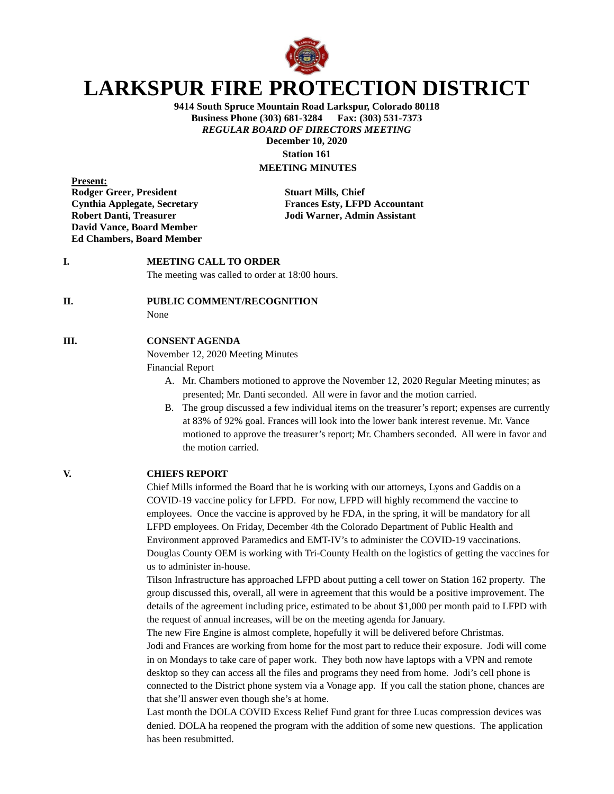

# **LARKSPUR FIRE PROTECTION DISTRICT**

**9414 South Spruce Mountain Road Larkspur, Colorado 80118 Business Phone (303) 681-3284** *REGULAR BOARD OF DIRECTORS MEETING* **December 10, 2020 Station 161**

## **MEETING MINUTES**

**Present: Rodger Greer, President Stuart Mills, Chief David Vance, Board Member Ed Chambers, Board Member**

**Cynthia Applegate, Secretary Frances Esty, LFPD Accountant Robert Danti, Treasurer Jodi Warner, Admin Assistant**

### **I. MEETING CALL TO ORDER**

The meeting was called to order at 18:00 hours.

#### **II. PUBLIC COMMENT/RECOGNITION**

None

#### **III. CONSENT AGENDA**

November 12, 2020 Meeting Minutes

Financial Report

- A. Mr. Chambers motioned to approve the November 12, 2020 Regular Meeting minutes; as presented; Mr. Danti seconded. All were in favor and the motion carried.
- B. The group discussed a few individual items on the treasurer's report; expenses are currently at 83% of 92% goal. Frances will look into the lower bank interest revenue. Mr. Vance motioned to approve the treasurer's report; Mr. Chambers seconded. All were in favor and the motion carried.

#### **V. CHIEFS REPORT**

Chief Mills informed the Board that he is working with our attorneys, Lyons and Gaddis on a COVID-19 vaccine policy for LFPD. For now, LFPD will highly recommend the vaccine to employees. Once the vaccine is approved by he FDA, in the spring, it will be mandatory for all LFPD employees. On Friday, December 4th the Colorado Department of Public Health and Environment approved Paramedics and EMT-IV's to administer the COVID-19 vaccinations. Douglas County OEM is working with Tri-County Health on the logistics of getting the vaccines for us to administer in-house.

Tilson Infrastructure has approached LFPD about putting a cell tower on Station 162 property. The group discussed this, overall, all were in agreement that this would be a positive improvement. The details of the agreement including price, estimated to be about \$1,000 per month paid to LFPD with the request of annual increases, will be on the meeting agenda for January.

The new Fire Engine is almost complete, hopefully it will be delivered before Christmas.

Jodi and Frances are working from home for the most part to reduce their exposure. Jodi will come in on Mondays to take care of paper work. They both now have laptops with a VPN and remote desktop so they can access all the files and programs they need from home. Jodi's cell phone is connected to the District phone system via a Vonage app. If you call the station phone, chances are that she'll answer even though she's at home.

Last month the DOLA COVID Excess Relief Fund grant for three Lucas compression devices was denied. DOLA ha reopened the program with the addition of some new questions. The application has been resubmitted.